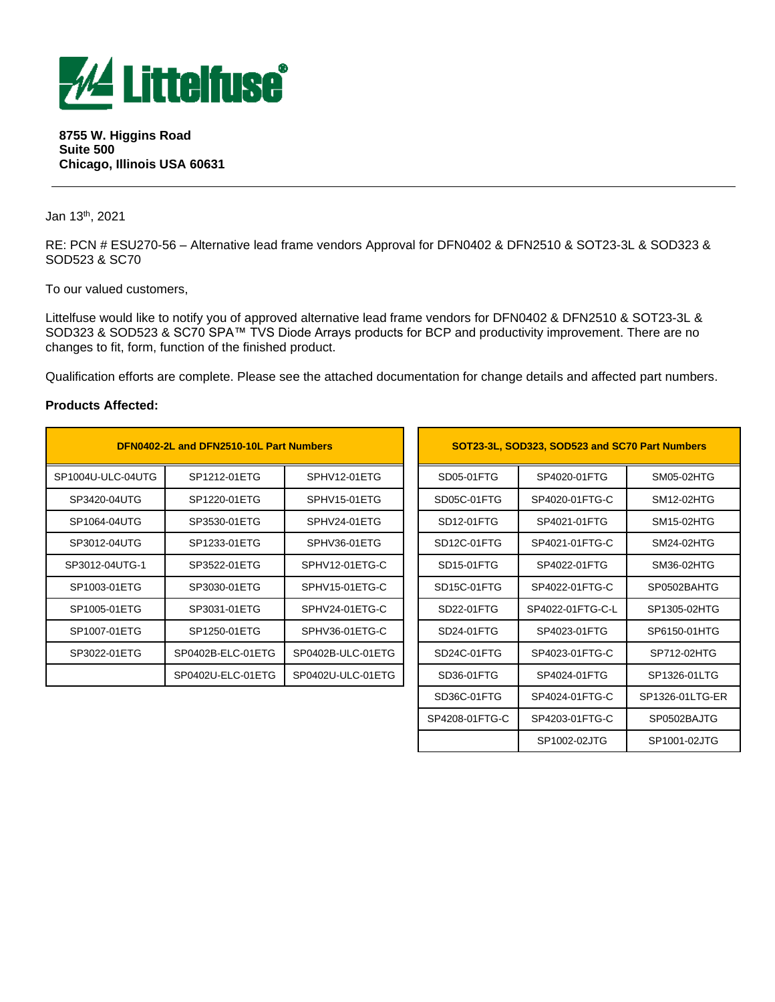

#### **8755 W. Higgins Road Suite 500 Chicago, Illinois USA 60631**

Jan 13 th, 2021

RE: PCN # ESU270-56 – Alternative lead frame vendors Approval for DFN0402 & DFN2510 & SOT23-3L & SOD323 & SOD523 & SC70

To our valued customers,

Littelfuse would like to notify you of approved alternative lead frame vendors for DFN0402 & DFN2510 & SOT23-3L & SOD323 & SOD523 & SC70 SPA™ TVS Diode Arrays products for BCP and productivity improvement. There are no changes to fit, form, function of the finished product.

Qualification efforts are complete. Please see the attached documentation for change details and affected part numbers.

#### **Products Affected:**

| DFN0402-2L and DFN2510-10L Part Numbers |                   |                   |                          | SOT23-3L, SOD323, SOD523 and SC70 Part Numbers |              |
|-----------------------------------------|-------------------|-------------------|--------------------------|------------------------------------------------|--------------|
| SP1004U-ULC-04UTG                       | SP1212-01ETG      | SPHV12-01ETG      | SD05-01FTG               | SP4020-01FTG                                   | SM05-02HTG   |
| SP3420-04UTG                            | SP1220-01ETG      | SPHV15-01ETG      | SD05C-01FTG              | SP4020-01FTG-C                                 | SM12-02HTG   |
| SP1064-04UTG                            | SP3530-01ETG      | SPHV24-01ETG      | SD12-01FTG               | SP4021-01FTG                                   | SM15-02HTG   |
| SP3012-04UTG                            | SP1233-01ETG      | SPHV36-01ETG      | SD <sub>12</sub> C-01FTG | SP4021-01FTG-C                                 | SM24-02HTG   |
| SP3012-04UTG-1                          | SP3522-01ETG      | SPHV12-01ETG-C    | SD <sub>15</sub> -01FTG  | SP4022-01FTG                                   | SM36-02HTG   |
| SP1003-01ETG                            | SP3030-01ETG      | SPHV15-01ETG-C    | SD <sub>15</sub> C-01FTG | SP4022-01FTG-C                                 | SP0502BAHTG  |
| SP1005-01ETG                            | SP3031-01ETG      | SPHV24-01ETG-C    | SD22-01FTG               | SP4022-01FTG-C-L                               | SP1305-02HTG |
| SP1007-01ETG                            | SP1250-01ETG      | SPHV36-01ETG-C    | SD24-01FTG               | SP4023-01FTG                                   | SP6150-01HTG |
| SP3022-01ETG                            | SP0402B-ELC-01ETG | SP0402B-ULC-01ETG | SD24C-01FTG              | SP4023-01FTG-C                                 | SP712-02HTG  |
|                                         | SP0402U-ELC-01ETG | SP0402U-ULC-01ETG | SD36-01FTG               | SP4024-01FTG                                   | SP1326-01LTG |

| DFN0402-2L and DFN2510-10L Part Numbers |                              |                   |            | SOT23-3L, SOD323, SOD523 and SC70 Part Numbers |                  |                 |  |  |
|-----------------------------------------|------------------------------|-------------------|------------|------------------------------------------------|------------------|-----------------|--|--|
| C-04UTG                                 | SP1212-01ETG<br>SPHV12-01ETG |                   | SD05-01FTG | SP4020-01FTG                                   | SM05-02HTG       |                 |  |  |
| 1UTG                                    | SP1220-01ETG                 | SPHV15-01ETG      |            | SD05C-01FTG                                    | SP4020-01FTG-C   | SM12-02HTG      |  |  |
| 1UTG                                    | SP3530-01ETG                 | SPHV24-01ETG      |            | SD12-01FTG                                     | SP4021-01FTG     | SM15-02HTG      |  |  |
| 1UTG.                                   | SP1233-01ETG                 | SPHV36-01ETG      |            | SD12C-01FTG                                    | SP4021-01FTG-C   | SM24-02HTG      |  |  |
| UTG-1                                   | SP3522-01ETG                 | SPHV12-01ETG-C    |            | SD15-01FTG                                     | SP4022-01FTG     | SM36-02HTG      |  |  |
| 1ETG                                    | SP3030-01ETG                 | SPHV15-01ETG-C    |            | SD <sub>15</sub> C-01FTG                       | SP4022-01FTG-C   | SP0502BAHTG     |  |  |
| 1ETG                                    | SP3031-01ETG                 | SPHV24-01ETG-C    |            | SD22-01FTG                                     | SP4022-01FTG-C-L | SP1305-02HTG    |  |  |
| 1ETG                                    | SP1250-01ETG                 | SPHV36-01ETG-C    |            | SD24-01FTG                                     | SP4023-01FTG     | SP6150-01HTG    |  |  |
| 1ETG                                    | SP0402B-ELC-01ETG            | SP0402B-ULC-01ETG |            | SD24C-01FTG                                    | SP4023-01FTG-C   | SP712-02HTG     |  |  |
|                                         | SP0402U-ELC-01ETG            | SP0402U-ULC-01ETG |            | SD36-01FTG                                     | SP4024-01FTG     | SP1326-01LTG    |  |  |
|                                         |                              |                   |            | SD36C-01FTG                                    | SP4024-01FTG-C   | SP1326-01LTG-ER |  |  |
|                                         |                              |                   |            | SP4208-01FTG-C                                 | SP4203-01FTG-C   | SP0502BAJTG     |  |  |
|                                         |                              |                   |            |                                                | SP1002-02JTG     | SP1001-02JTG    |  |  |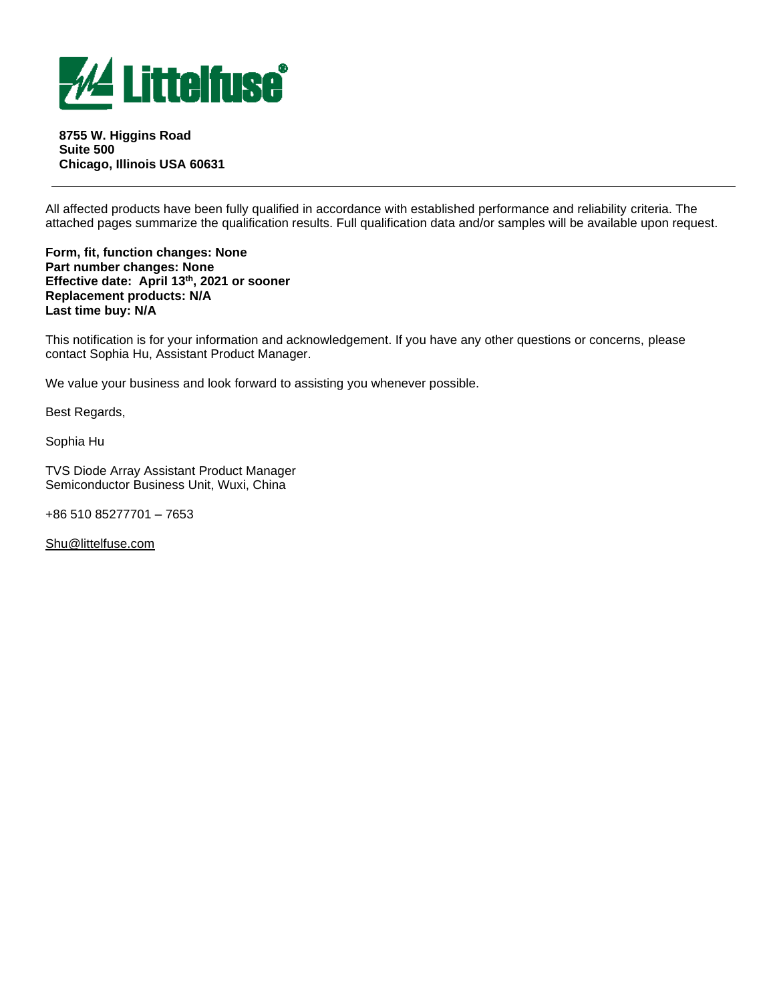

**8755 W. Higgins Road Suite 500 Chicago, Illinois USA 60631**

All affected products have been fully qualified in accordance with established performance and reliability criteria. The attached pages summarize the qualification results. Full qualification data and/or samples will be available upon request.

**Form, fit, function changes: None Part number changes: None Effective date: April 13 th , 2021 or sooner Replacement products: N/A Last time buy: N/A** 

This notification is for your information and acknowledgement. If you have any other questions or concerns, please contact Sophia Hu, Assistant Product Manager.

We value your business and look forward to assisting you whenever possible.

Best Regards,

Sophia Hu

TVS Diode Array Assistant Product Manager Semiconductor Business Unit, Wuxi, China

+86 510 85277701 – 7653

[Shu@littelfuse.com](mailto:Shu@littelfuse.com)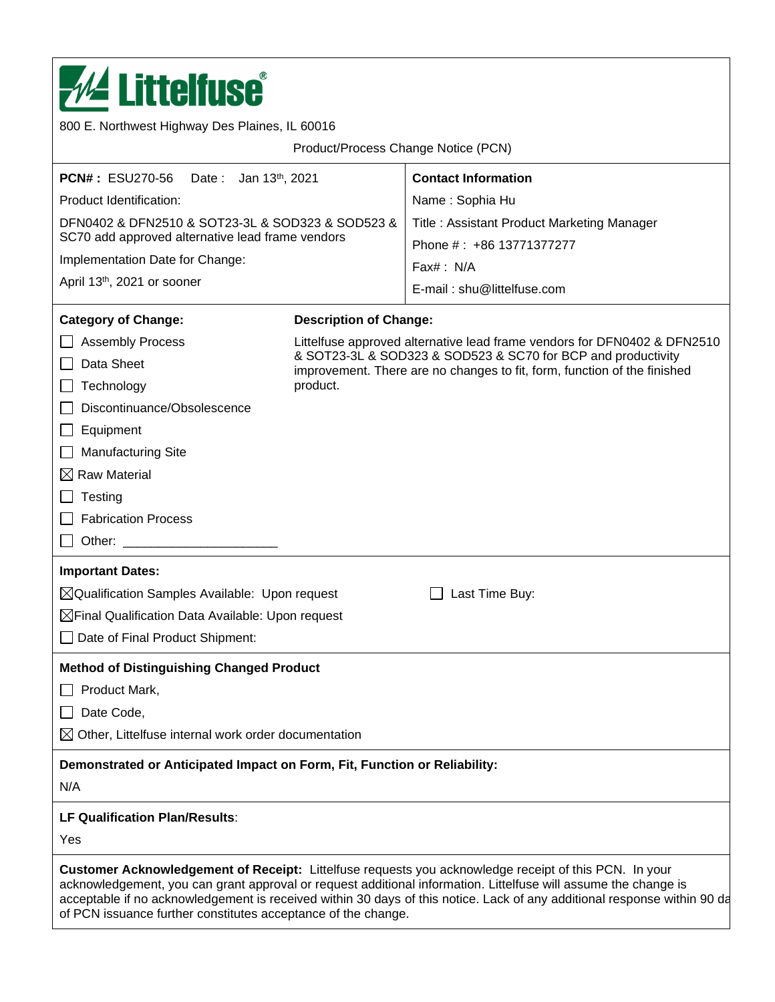

**Customer Acknowledgement of Receipt:** Littelfuse requests you acknowledge receipt of this PCN. In your acknowledgement, you can grant approval or request additional information. Littelfuse will assume the change is acceptable if no acknowledgement is received within 30 days of this notice. Lack of any additional response within 90 days of PCN issuance further constitutes acceptance of the change.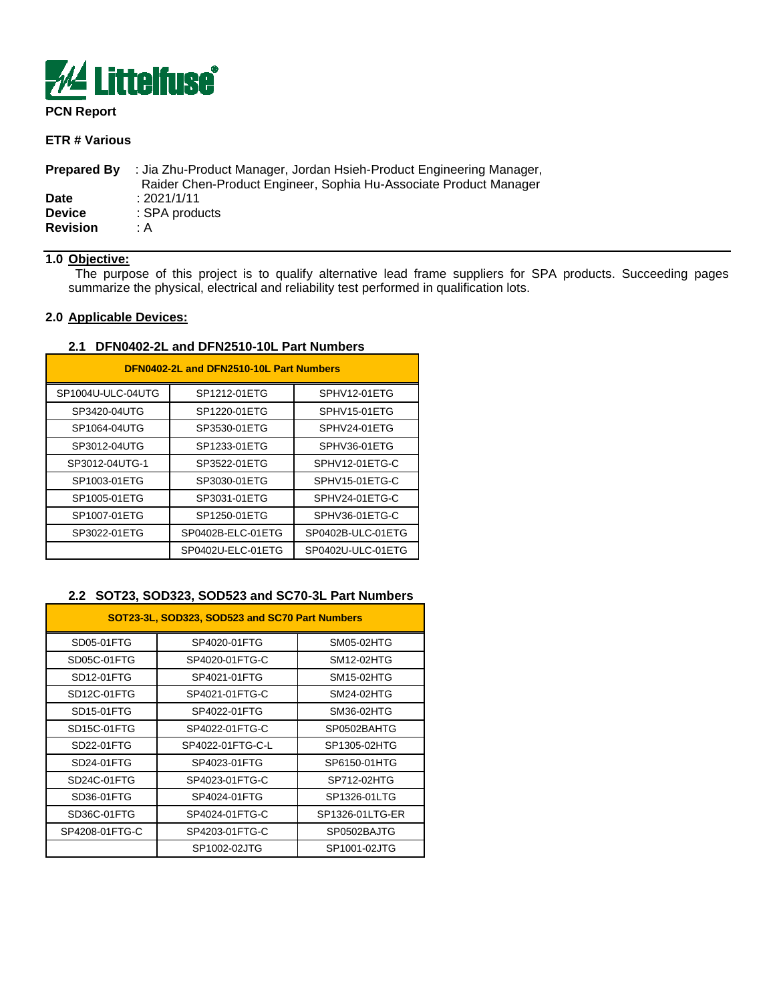

# **PCN Report**

# **ETR # Various**

| <b>Prepared By</b> | : Jia Zhu-Product Manager, Jordan Hsieh-Product Engineering Manager,<br>Raider Chen-Product Engineer, Sophia Hu-Associate Product Manager |
|--------------------|-------------------------------------------------------------------------------------------------------------------------------------------|
| Date               | : 2021/1/11                                                                                                                               |
| <b>Device</b>      | : SPA products                                                                                                                            |
| <b>Revision</b>    | : A                                                                                                                                       |

# **1.0 Objective:**

 The purpose of this project is to qualify alternative lead frame suppliers for SPA products. Succeeding pages summarize the physical, electrical and reliability test performed in qualification lots.

#### **2.0 Applicable Devices:**

#### **2.1 DFN0402-2L and DFN2510-10L Part Numbers**

| DFN0402-2L and DFN2510-10L Part Numbers |                   |                   |  |  |  |  |
|-----------------------------------------|-------------------|-------------------|--|--|--|--|
| SP1004U-ULC-04UTG                       | SP1212-01ETG      | SPHV12-01ETG      |  |  |  |  |
| SP3420-04UTG                            | SP1220-01ETG      | SPHV15-01ETG      |  |  |  |  |
| SP1064-04UTG                            | SP3530-01ETG      | SPHV24-01ETG      |  |  |  |  |
| SP3012-04UTG                            | SP1233-01ETG      | SPHV36-01ETG      |  |  |  |  |
| SP3012-04UTG-1                          | SP3522-01ETG      | SPHV12-01ETG-C    |  |  |  |  |
| SP1003-01ETG                            | SP3030-01ETG      | SPHV15-01ETG-C    |  |  |  |  |
| SP1005-01ETG                            | SP3031-01ETG      | SPHV24-01ETG-C    |  |  |  |  |
| SP1007-01ETG                            | SP1250-01ETG      | SPHV36-01ETG-C    |  |  |  |  |
| SP3022-01ETG                            | SP0402B-ELC-01ETG | SP0402B-ULC-01ETG |  |  |  |  |
|                                         | SP0402U-ELC-01ETG | SP0402U-ULC-01ETG |  |  |  |  |

#### **2.2 SOT23, SOD323, SOD523 and SC70-3L Part Numbers**

| SOT23-3L, SOD323, SOD523 and SC70 Part Numbers |                  |                 |  |  |  |  |
|------------------------------------------------|------------------|-----------------|--|--|--|--|
| SD05-01FTG                                     | SP4020-01FTG     | SM05-02HTG      |  |  |  |  |
| SD05C-01FTG                                    | SP4020-01FTG-C   | SM12-02HTG      |  |  |  |  |
| SD12-01FTG                                     | SP4021-01FTG     | SM15-02HTG      |  |  |  |  |
| SD <sub>12</sub> C-01FTG                       | SP4021-01FTG-C   | SM24-02HTG      |  |  |  |  |
| SD15-01FTG                                     | SP4022-01FTG     | SM36-02HTG      |  |  |  |  |
| SD15C-01FTG                                    | SP4022-01FTG-C   | SP0502BAHTG     |  |  |  |  |
| SD22-01FTG                                     | SP4022-01FTG-C-L | SP1305-02HTG    |  |  |  |  |
| SD24-01FTG                                     | SP4023-01FTG     | SP6150-01HTG    |  |  |  |  |
| SD24C-01FTG                                    | SP4023-01FTG-C   | SP712-02HTG     |  |  |  |  |
| SD36-01FTG                                     | SP4024-01FTG     | SP1326-01LTG    |  |  |  |  |
| SD36C-01FTG                                    | SP4024-01FTG-C   | SP1326-01LTG-ER |  |  |  |  |
| SP4208-01FTG-C                                 | SP4203-01FTG-C   | SP0502BAJTG     |  |  |  |  |
|                                                | SP1002-02JTG     | SP1001-02JTG    |  |  |  |  |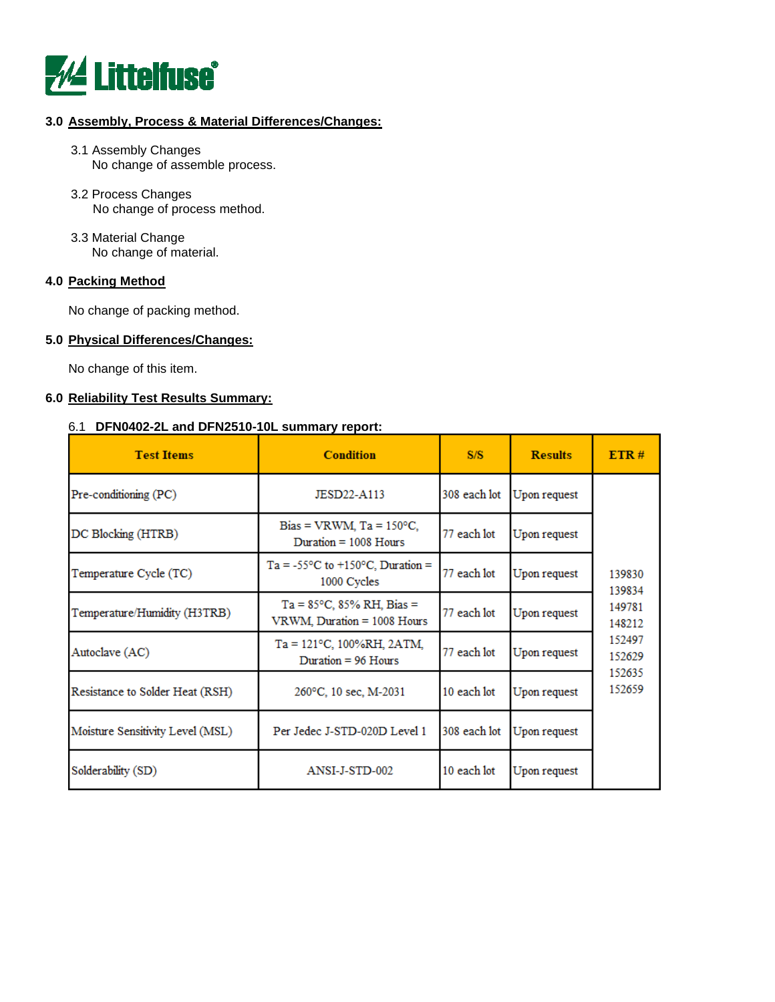

# **3.0 Assembly, Process & Material Differences/Changes:**

- 3.1 Assembly Changes No change of assemble process.
- 3.2 Process Changes No change of process method.
- 3.3 Material Change No change of material.

#### **4.0 Packing Method**

No change of packing method.

#### **5.0 Physical Differences/Changes:**

No change of this item.

#### **6.0 Reliability Test Results Summary:**

#### 6.1 **DFN0402-2L and DFN2510-10L summary report:**

| <b>Test Items</b>                | <b>Condition</b>                                                   | S/S                         | <b>Results</b> | ETR#             |
|----------------------------------|--------------------------------------------------------------------|-----------------------------|----------------|------------------|
| Pre-conditioning (PC)            | JESD22-A113                                                        | 308 each lot                | Upon request   |                  |
| DC Blocking (HTRB)               | Bias = VRWM, $Ta = 150^{\circ}C$ ,<br>Duration $= 1008$ Hours      | 77 each lot<br>Upon request |                |                  |
| Temperature Cycle (TC)           | $Ta = -55^{\circ}C$ to $+150^{\circ}C$ , Duration =<br>1000 Cycles | 77 each lot                 | Upon request   | 139830<br>139834 |
| Temperature/Humidity (H3TRB)     | $Ta = 85^{\circ}C$ , 85% RH, Bias =<br>VRWM, Duration = 1008 Hours | 77 each lot<br>Upon request |                | 149781<br>148212 |
| Autoclave (AC)                   | $Ta = 121^{\circ}C$ , 100%RH, 2ATM,<br>Duration $= 96$ Hours       | 77 each lot                 | Upon request   | 152497<br>152629 |
| Resistance to Solder Heat (RSH)  | 260°C, 10 sec, M-2031                                              | 10 each lot                 | Upon request   | 152635<br>152659 |
| Moisture Sensitivity Level (MSL) | Per Jedec J-STD-020D Level 1                                       | 308 each lot                | Upon request   |                  |
| Solderability (SD)               | ANSI-J-STD-002                                                     | 10 each lot                 | Upon request   |                  |